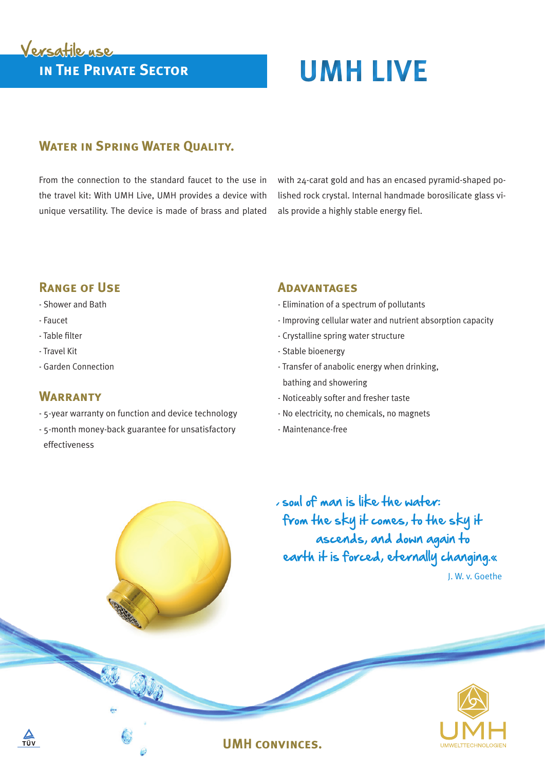# Versatile use

# **in The Private Sector UMH LIVE**

### **WATER IN SPRING WATER QUALITY.**

From the connection to the standard faucet to the use in the travel kit: With UMH Live, UMH provides a device with unique versatility. The device is made of brass and plated with 24-carat gold and has an encased pyramid-shaped polished rock crystal. Internal handmade borosilicate glass vials provide a highly stable energy fiel.

### **Range of Use**

- Shower and Bath
- Faucet
- Table filter
- Travel Kit
- Garden Connection

#### **WARRANTY**

- 5-year warranty on function and device technology
- 5-month money-back guarantee for unsatisfactory effectiveness

#### **Adavantages**

- Elimination of a spectrum of pollutants
- Improving cellular water and nutrient absorption capacity
- Crystalline spring water structure
- Stable bioenergy
- Transfer of anabolic energy when drinking, bathing and showering
- Noticeably softer and fresher taste
- No electricity, no chemicals, no magnets
- Maintenance-free

**UMH convinces.**

, soul of man is like the water: from the sky it comes, to the sky it ascends, and down again to earth it is forced, eternally changing.« J. W. v. Goethe